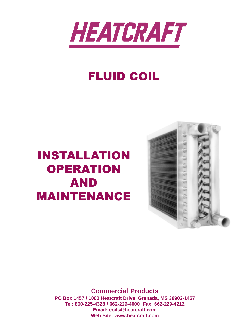

# FLUID COIL

# INSTALLATION **OPERATION** AND MAINTENANCE



**Commercial Products PO Box 1457 / 1000 Heatcraft Drive, Grenada, MS 38902-1457 Tel: 800-225-4328 / 662-229-4000 Fax: 662-229-4212 Email: coils@heatcraft.com Web Site: www.heatcraft.com**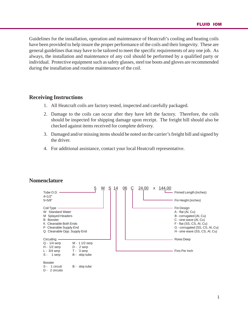Guidelines for the installation, operation and maintenance of Heatcraft's cooling and heating coils have been provided to help insure the proper performance of the coils and their longevity. These are general guidelines that may have to be tailored to meet the specific requirements of any one job. As always, the installation and maintenance of any coil should be performed by a qualified party or individual. Protective equipment such as safety glasses, steel toe boots and gloves are recommended during the installation and routine maintenance of the coil.

### **Receiving Instructions**

- 1. All Heatcraft coils are factory tested, inspected and carefully packaged.
- 2. Damage to the coils can occur after they have left the factory. Therefore, the coils should be inspected for shipping damage upon receipt. The freight bill should also be checked against items received for complete delivery.
- 3. Damaged and/or missing items should be noted on the carrier's freight bill and signed by the driver.
- 4. For additional assistance, contact your local Heatcraft representative.



### **Nomenclature**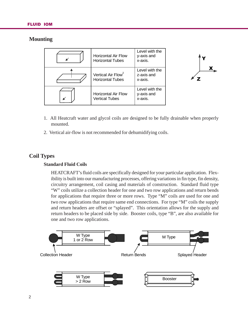# **Mounting**

| <b>Horizontal Air Flow</b><br><b>Horizontal Tubes</b>     | Level with the<br>y-axis and<br>x-axis. |
|-----------------------------------------------------------|-----------------------------------------|
| Vertical Air Flow <sup>2</sup><br><b>Horizontal Tubes</b> | Level with the<br>z-axis and<br>x-axis. |
| <b>Horizontal Air Flow</b><br><b>Vertical Tubes</b>       | Level with the<br>y-axis and<br>x-axis. |



- 1. All Heatcraft water and glycol coils are designed to be fully drainable when properly mounted.
- 2. Vertical air-flow is not recommended for dehumidifying coils.

# **Coil Types**

### **Standard Fluid Coils**

HEATCRAFT's fluid coils are specifically designed for your particular application. Flexibility is built into our manufacturing processes, offering variations in fin type, fin density, circuitry arrangement, coil casing and materials of construction. Standard fluid type "W" coils utilize a collection header for one and two row applications and return bends for applications that require three or more rows. Type "M" coils are used for one and two row applications that require same end connections. For type "M" coils the supply and return headers are offset or "splayed". This orientation allows for the supply and return headers to be placed side by side. Booster coils, type "B", are also available for one and two row applications.

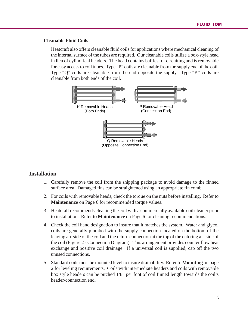#### **Cleanable Fluid Coils**

Heatcraft also offers cleanable fluid coils for applications where mechanical cleaning of the internal surface of the tubes are required. Our cleanable coils utilize a box-style head in lieu of cylindrical headers. The head contains baffles for circuiting and is removable for easy access to coil tubes. Type "P" coils are cleanable from the supply end of the coil. Type "Q" coils are cleanable from the end opposite the supply. Type "K" coils are cleanable from both ends of the coil.



#### **Installation**

- 1. Carefully remove the coil from the shipping package to avoid damage to the finned surface area. Damaged fins can be straightened using an appropriate fin comb.
- 2. For coils with removable heads, check the torque on the nuts before installing. Refer to **Maintenance** on Page 6 for recommended torque values.
- 3. Heatcraft recommends cleaning the coil with a commercially available coil cleaner prior to installation. Refer to **Maintenance** on Page 6 for cleaning recommendations.
- 4. Check the coil hand designation to insure that it matches the system. Water and glycol coils are generally plumbed with the supply connection located on the bottom of the leaving air-side of the coil and the return connection at the top of the entering air-side of the coil (Figure 2 - Connection Diagram). This arrangement provides counter flow heat exchange and positive coil drainage. If a universal coil is supplied, cap off the two unused connections.
- 5. Standard coils must be mounted level to insure drainability. Refer to **Mounting** on page 2 for leveling requirements. Coils with intermediate headers and coils with removable box style headers can be pitched 1/8" per foot of coil finned length towards the coil's header/connection end.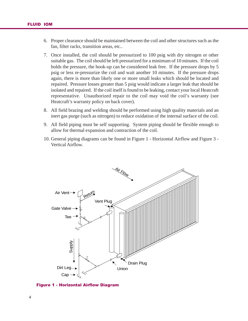- 6. Proper clearance should be maintained between the coil and other structures such as the fan, filter racks, transition areas, etc..
- 7. Once installed, the coil should be pressurized to 100 psig with dry nitrogen or other suitable gas. The coil should be left pressurized for a minimum of 10 minutes. If the coil holds the pressure, the hook-up can be considered leak free. If the pressure drops by 5 psig or less re-pressurize the coil and wait another 10 minutes. If the pressure drops again, there is more than likely one or more small leaks which should be located and repaired. Pressure losses greater than 5 psig would indicate a larger leak that should be isolated and repaired. If the coil itself is found to be leaking, contact your local Heatcraft representative. Unauthorized repair to the coil may void the coil's warranty (see Heatcraft's warranty policy on back cover).
- 8. All field brazing and welding should be performed using high quality materials and an inert gas purge (such as nitrogen) to reduce oxidation of the internal surface of the coil.
- 9. All field piping must be self supporting. System piping should be flexible enough to allow for thermal expansion and contraction of the coil.
- 10. General piping diagrams can be found in Figure 1 Horizontal Airflow and Figure 3 Vertical Airflow.



Figure 1 - Horizontal Airflow Diagram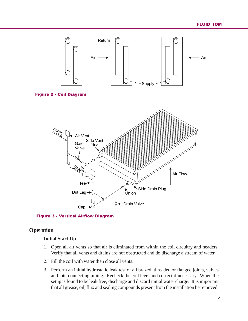

Figure 3 - Vertical Airflow Diagram

# **Operation**

### **Initial Start-Up**

- 1. Open all air vents so that air is eliminated from within the coil circuitry and headers. Verify that all vents and drains are not obstructed and do discharge a stream of water.
- 2. Fill the coil with water then close all vents.
- 3. Perform an initial hydrostatic leak test of all brazed, threaded or flanged joints, valves and interconnecting piping. Recheck the coil level and correct if necessary. When the setup is found to be leak free, discharge and discard initial water charge. It is important that all grease, oil, flux and sealing compounds present from the installation be removed.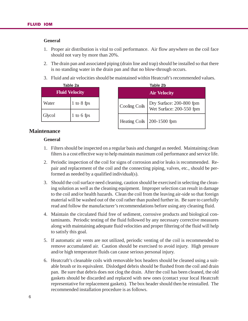#### **General**

- 1. Proper air distribution is vital to coil performance. Air flow anywhere on the coil face should not vary by more than 20%.
- 2. The drain pan and associated piping (drain line and trap) should be installed so that there is no standing water in the drain pan and that no blow-through occurs.
- 3. Fluid and air velocities should be maintained within Heatcraft's recommended values.

| Table 2a<br><b>Fluid Velocity</b> |                |  |  |  |
|-----------------------------------|----------------|--|--|--|
| Water                             | $1$ to $8$ fps |  |  |  |
| Glycol                            | $1$ to 6 fps   |  |  |  |

| Table 2a             |  |                      | Table 2b                                             |  |
|----------------------|--|----------------------|------------------------------------------------------|--|
| <b>Tuid Velocity</b> |  |                      | <b>Air Velocity</b>                                  |  |
| $1$ to $8$ fps       |  | Cooling Coils        | Dry Surface: 200-800 fpm<br>Wet Surface: 200-550 fpm |  |
| 1 to 6 fps           |  | <b>Heating Coils</b> | 200-1500 fpm                                         |  |
|                      |  |                      |                                                      |  |

# **Maintenance**

#### **General**

- 1. Filters should be inspected on a regular basis and changed as needed. Maintaining clean filters is a cost effective way to help maintain maximum coil performance and service life.
- 2. Periodic inspection of the coil for signs of corrosion and/or leaks is recommended. Repair and replacement of the coil and the connecting piping, valves, etc., should be performed as needed by a qualified individual(s).
- 3. Should the coil surface need cleaning, caution should be exercised in selecting the cleaning solution as well as the cleaning equipment. Improper selection can result in damage to the coil and/or health hazards. Clean the coil from the leaving air-side so that foreign material will be washed out of the coil rather than pushed further in. Be sure to carefully read and follow the manufacturer's recommendations before using any cleaning fluid.
- 4. Maintain the circulated fluid free of sediment, corrosive products and biological contaminants. Periodic testing of the fluid followed by any necessary corrective measures along with maintaining adequate fluid velocities and proper filtering of the fluid will help to satisfy this goal.
- 5. If automatic air vents are not utilized, periodic venting of the coil is recommended to remove accumulated air. Caution should be exercised to avoid injury. High pressure and/or high temperature fluids can cause serious personal injury.
- 6. Heatcraft's cleanable coils with removable box headers should be cleaned using a suitable brush or its equivalent. Dislodged debris should be flushed from the coil and drain pan. Be sure that debris does not clog the drain. After the coil has been cleaned, the old gaskets should be discarded and replaced with new ones (contact your local Heatcraft representative for replacement gaskets). The box header should then be reinstalled. The recommended installation procedure is as follows.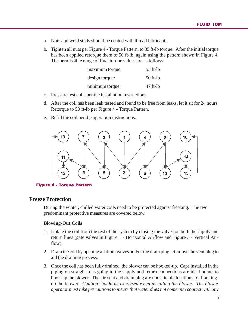- a. Nuts and weld studs should be coated with thread lubricant.
- b. Tighten all nuts per Figure 4 Torque Pattern, to 35 ft-lb torque. After the initial torque has been applied retorque them to 50 ft-lb, again using the pattern shown in Figure 4. The permissible range of final torque values are as follows:

| maximum torque: | $53$ ft-lb |
|-----------------|------------|
| design torque:  | $50$ ft-lb |
| minimum torque: | $47$ ft-lb |

- c. Pressure test coils per the installation instructions.
- d. After the coil has been leak tested and found to be free from leaks, let it sit for 24 hours. Retorque to 50 ft-lb per Figure 4 - Torque Pattern.
- e. Refill the coil per the operation instructions.



Figure 4 - Torque Pattern

# **Freeze Protection**

During the winter, chilled water coils need to be protected against freezing. The two predominant protective measures are covered below.

#### **Blowing-Out Coils**

- 1. Isolate the coil from the rest of the system by closing the valves on both the supply and return lines (gate valves in Figure 1 - Horizontal Airflow and Figure 3 - Vertical Airflow).
- 2. Drain the coil by opening all drain valves and/or the drain plug. Remove the vent plug to aid the draining process.
- 3. Once the coil has been fully drained, the blower can be hooked-up. Caps installed in the piping on straight runs going to the supply and return connections are ideal points to hook-up the blower. The air vent and drain plug are not suitable locations for hookingup the blower. *Caution should be exercised when installing the blower. The blower operator must take precautions to insure that water does not come into contact with any*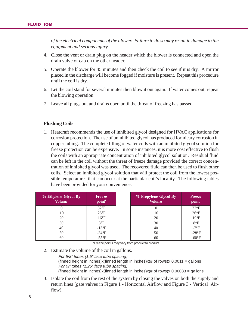*of the electrical components of the blower. Failure to do so may result in damage to the equipment and serious injury.*

- 4. Close the vent or drain plug on the header which the blower is connected and open the drain valve or cap on the other header.
- 5. Operate the blower for 45 minutes and then check the coil to see if it is dry. A mirror placed in the discharge will become fogged if moisture is present. Repeat this procedure until the coil is dry.
- 6. Let the coil stand for several minutes then blow it out again. If water comes out, repeat the blowing operation.
- 7. Leave all plugs out and drains open until the threat of freezing has passed.

#### **Flushing Coils**

1. Heatcraft recommends the use of inhibited glycol designed for HVAC applications for corrosion protection. The use of uninhibited glycol has produced formicary corrosion in copper tubing. The complete filling of water coils with an inhibited glycol solution for freeze protection can be expensive. In some instances, it is more cost effective to flush the coils with an appropriate concentration of inhibited glycol solution. Residual fluid can be left in the coil without the threat of freeze damage provided the correct concentration of inhibited glycol was used. The recovered fluid can then be used to flush other coils. Select an inhibited glycol solution that will protect the coil from the lowest possible temperatures that can occur at the particular coil's locality. The following tables have been provided for your convenience.

| % Ethylene Glycol By<br><b>Volume</b> | <b>Freeze</b><br>point <sup>1</sup> | % Propylene Glycol By<br><b>Volume</b> | <b>Freeze</b><br>point <sup>1</sup> |
|---------------------------------------|-------------------------------------|----------------------------------------|-------------------------------------|
|                                       | $32^{\circ}F$                       |                                        | $32^{\circ}F$                       |
| 10                                    | $25^{\circ}F$                       | 10                                     | $26^{\circ}F$                       |
| 20                                    | $16^{\circ}F$                       | 20                                     | $19^{\circ}F$                       |
| 30                                    | $3^{\circ}F$                        | 30                                     | $8^{\circ}F$                        |
| 40                                    | $-13^{\circ}F$                      | 40                                     | $-7^{\circ}F$                       |
| 50                                    | $-34^{\circ}F$                      | 50                                     | $-28^{\circ}F$                      |
| 60                                    | $-55^{\circ}$ F                     | 60                                     | $-60^{\circ}F$                      |

1 Freeze points may vary from product to product.

2. Estimate the volume of the coil in gallons.

For 5/8" tubes (1.5" face tube spacing) (finned height in inches)x(finned length in inches)x(# of rows)x  $0.0011$  = gallons For ½" tubes (1.25" face tube spacing) (finned height in inches)x(finned length in inches)x(# of rows)x  $0.00083 =$  gallons

3. Isolate the coil from the rest of the system by closing the valves on both the supply and return lines (gate valves in Figure 1 - Horizontal Airflow and Figure 3 - Vertical Airflow).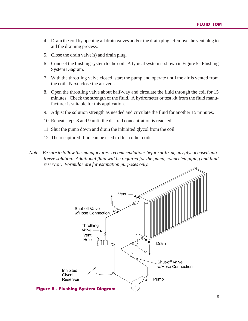- 4. Drain the coil by opening all drain valves and/or the drain plug. Remove the vent plug to aid the draining process.
- 5. Close the drain valve(s) and drain plug.
- 6. Connect the flushing system to the coil. A typical system is shown in Figure 5 Flushing System Diagram.
- 7. With the throttling valve closed, start the pump and operate until the air is vented from the coil. Next, close the air vent.
- 8. Open the throttling valve about half-way and circulate the fluid through the coil for 15 minutes. Check the strength of the fluid. A hydrometer or test kit from the fluid manufacturer is suitable for this application.
- 9. Adjust the solution strength as needed and circulate the fluid for another 15 minutes.
- 10. Repeat steps 8 and 9 until the desired concentration is reached.
- 11. Shut the pump down and drain the inhibited glycol from the coil.
- 12. The recaptured fluid can be used to flush other coils.
- *Note: Be sure to follow the manufactures' recommendations before utilizing any glycol based antifreeze solution. Additional fluid will be required for the pump, connected piping and fluid reservoir. Formulae are for estimation purposes only.*